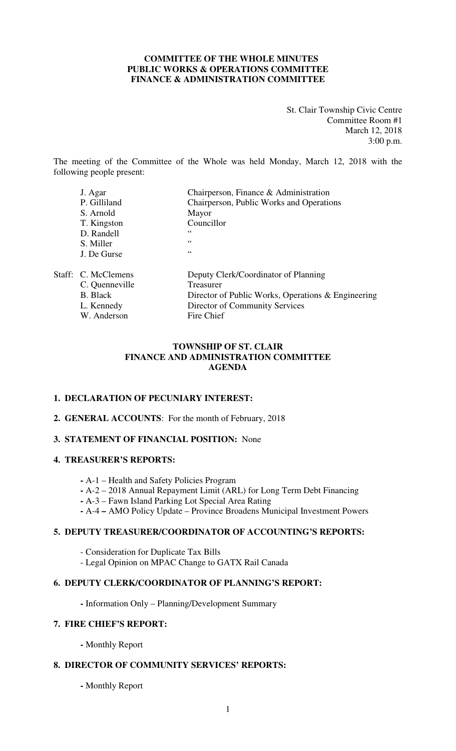## **COMMITTEE OF THE WHOLE MINUTES PUBLIC WORKS & OPERATIONS COMMITTEE FINANCE & ADMINISTRATION COMMITTEE**

St. Clair Township Civic Centre Committee Room #1 March 12, 2018 3:00 p.m.

The meeting of the Committee of the Whole was held Monday, March 12, 2018 with the following people present:

|  | J. Agar             | Chairperson, Finance & Administration              |
|--|---------------------|----------------------------------------------------|
|  | P. Gilliland        | Chairperson, Public Works and Operations           |
|  | S. Arnold           | Mayor                                              |
|  | T. Kingston         | Councillor                                         |
|  | D. Randell          | 66                                                 |
|  | S. Miller           | 66                                                 |
|  | J. De Gurse         | 66                                                 |
|  | Staff: C. McClemens | Deputy Clerk/Coordinator of Planning               |
|  | C. Quenneville      | Treasurer                                          |
|  | <b>B.</b> Black     | Director of Public Works, Operations & Engineering |
|  | L. Kennedy          | Director of Community Services                     |
|  | W. Anderson         | Fire Chief                                         |

## **TOWNSHIP OF ST. CLAIR FINANCE AND ADMINISTRATION COMMITTEE AGENDA**

## **1. DECLARATION OF PECUNIARY INTEREST:**

#### **2. GENERAL ACCOUNTS**: For the month of February, 2018

## **3. STATEMENT OF FINANCIAL POSITION:** None

#### **4. TREASURER'S REPORTS:**

- **-** A-1 Health and Safety Policies Program
- **-** A-2 2018 Annual Repayment Limit (ARL) for Long Term Debt Financing
- **-** A-3 Fawn Island Parking Lot Special Area Rating
- **-** A-4 **–** AMO Policy Update Province Broadens Municipal Investment Powers

## **5. DEPUTY TREASURER/COORDINATOR OF ACCOUNTING'S REPORTS:**

- Consideration for Duplicate Tax Bills
- Legal Opinion on MPAC Change to GATX Rail Canada

## **6. DEPUTY CLERK/COORDINATOR OF PLANNING'S REPORT:**

**-** Information Only – Planning/Development Summary

## **7. FIRE CHIEF'S REPORT:**

 **-** Monthly Report

## **8. DIRECTOR OF COMMUNITY SERVICES' REPORTS:**

**-** Monthly Report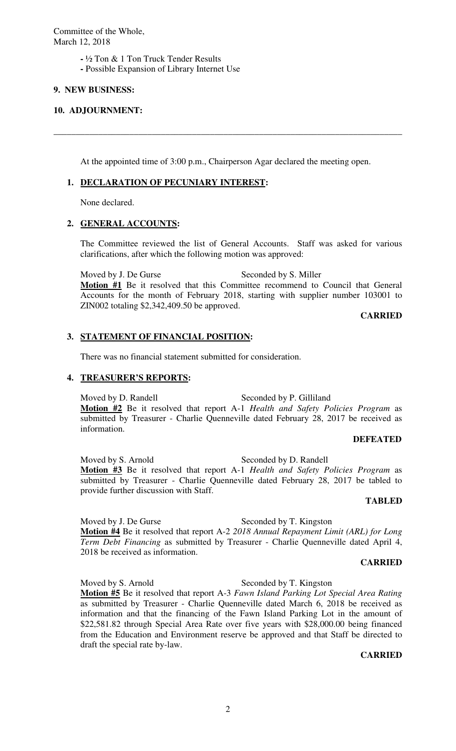Committee of the Whole, March 12, 2018

- ½ Ton & 1 Ton Truck Tender Results
- **-** Possible Expansion of Library Internet Use

## **9. NEW BUSINESS:**

#### **10. ADJOURNMENT:**

At the appointed time of 3:00 p.m., Chairperson Agar declared the meeting open.

**\_\_\_\_\_\_\_\_\_\_\_\_\_\_\_\_\_\_\_\_\_\_\_\_\_\_\_\_\_\_\_\_\_\_\_\_\_\_\_\_\_\_\_\_\_\_\_\_\_\_\_\_\_\_\_\_\_\_\_\_\_\_\_\_\_\_\_\_\_\_\_\_\_\_\_\_\_\_** 

## **1. DECLARATION OF PECUNIARY INTEREST:**

None declared.

## **2. GENERAL ACCOUNTS:**

The Committee reviewed the list of General Accounts. Staff was asked for various clarifications, after which the following motion was approved:

Moved by J. De Gurse Seconded by S. Miller **Motion #1** Be it resolved that this Committee recommend to Council that General Accounts for the month of February 2018, starting with supplier number 103001 to ZIN002 totaling \$2,342,409.50 be approved.

**CARRIED** 

#### **3. STATEMENT OF FINANCIAL POSITION:**

There was no financial statement submitted for consideration.

#### **4. TREASURER'S REPORTS:**

Moved by D. Randell Seconded by P. Gilliland **Motion #2** Be it resolved that report A-1 *Health and Safety Policies Program* as submitted by Treasurer - Charlie Quenneville dated February 28, 2017 be received as information.

#### **DEFEATED**

Moved by S. Arnold Seconded by D. Randell **Motion #3** Be it resolved that report A-1 *Health and Safety Policies Program* as submitted by Treasurer - Charlie Quenneville dated February 28, 2017 be tabled to provide further discussion with Staff.

## **TABLED**

Moved by J. De Gurse Seconded by T. Kingston **Motion #4** Be it resolved that report A-2 *2018 Annual Repayment Limit (ARL) for Long Term Debt Financing* as submitted by Treasurer - Charlie Quenneville dated April 4, 2018 be received as information.

#### **CARRIED**

Moved by S. Arnold Seconded by T. Kingston **Motion #5** Be it resolved that report A-3 *Fawn Island Parking Lot Special Area Rating* as submitted by Treasurer - Charlie Quenneville dated March 6, 2018 be received as information and that the financing of the Fawn Island Parking Lot in the amount of \$22,581.82 through Special Area Rate over five years with \$28,000.00 being financed from the Education and Environment reserve be approved and that Staff be directed to draft the special rate by-law.

#### **CARRIED**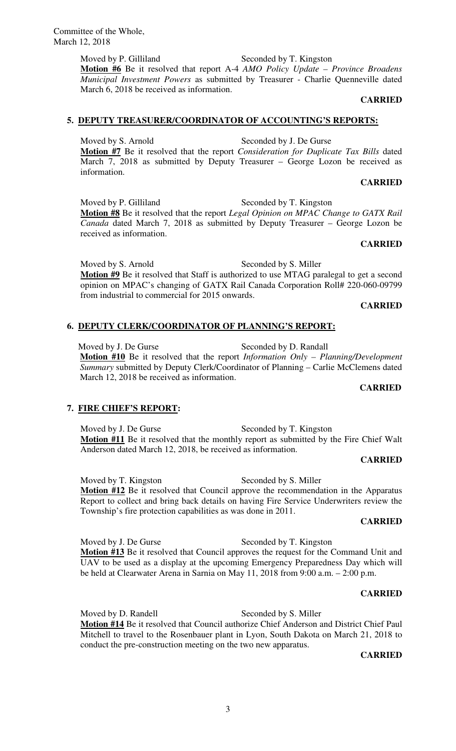Committee of the Whole, March 12, 2018

> Moved by P. Gilliland Seconded by T. Kingston **Motion #6** Be it resolved that report A-4 *AMO Policy Update – Province Broadens Municipal Investment Powers* as submitted by Treasurer - Charlie Quenneville dated March 6, 2018 be received as information.

> > **CARRIED**

## **5. DEPUTY TREASURER/COORDINATOR OF ACCOUNTING'S REPORTS:**

Moved by S. Arnold Seconded by J. De Gurse **Motion #7** Be it resolved that the report *Consideration for Duplicate Tax Bills* dated March 7, 2018 as submitted by Deputy Treasurer – George Lozon be received as information.

## **CARRIED**

**CARRIED** 

Moved by P. Gilliland Seconded by T. Kingston **Motion #8** Be it resolved that the report *Legal Opinion on MPAC Change to GATX Rail Canada* dated March 7, 2018 as submitted by Deputy Treasurer – George Lozon be received as information.

Moved by S. Arnold Seconded by S. Miller **Motion #9** Be it resolved that Staff is authorized to use MTAG paralegal to get a second opinion on MPAC's changing of GATX Rail Canada Corporation Roll# 220-060-09799 from industrial to commercial for 2015 onwards.

#### **CARRIED**

## **6. DEPUTY CLERK/COORDINATOR OF PLANNING'S REPORT:**

Moved by J. De Gurse Seconded by D. Randall **Motion #10** Be it resolved that the report *Information Only – Planning/Development Summary* submitted by Deputy Clerk/Coordinator of Planning – Carlie McClemens dated March 12, 2018 be received as information.

#### **CARRIED**

## **7. FIRE CHIEF'S REPORT:**

Moved by J. De Gurse Seconded by T. Kingston **Motion #11** Be it resolved that the monthly report as submitted by the Fire Chief Walt Anderson dated March 12, 2018, be received as information.

#### **CARRIED**

Moved by T. Kingston Seconded by S. Miller **Motion #12** Be it resolved that Council approve the recommendation in the Apparatus Report to collect and bring back details on having Fire Service Underwriters review the Township's fire protection capabilities as was done in 2011.

#### **CARRIED**

Moved by J. De Gurse Seconded by T. Kingston **Motion #13** Be it resolved that Council approves the request for the Command Unit and UAV to be used as a display at the upcoming Emergency Preparedness Day which will be held at Clearwater Arena in Sarnia on May 11, 2018 from 9:00 a.m. – 2:00 p.m.

## **CARRIED**

Moved by D. Randell Seconded by S. Miller **Motion #14** Be it resolved that Council authorize Chief Anderson and District Chief Paul Mitchell to travel to the Rosenbauer plant in Lyon, South Dakota on March 21, 2018 to conduct the pre-construction meeting on the two new apparatus.

## **CARRIED**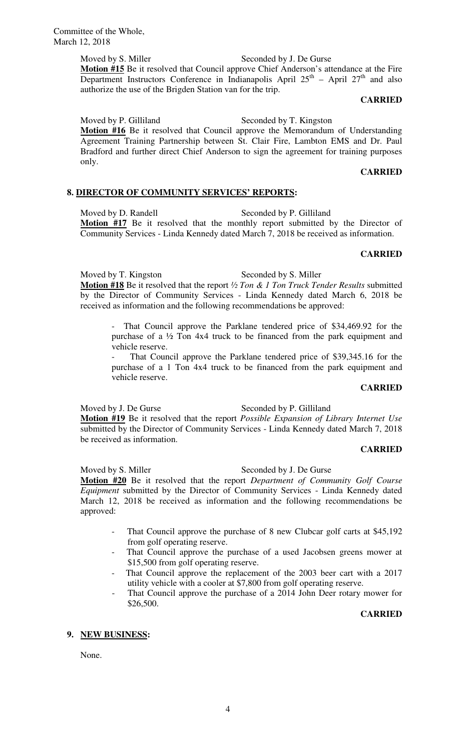Moved by S. Miller Seconded by J. De Gurse

**Motion #15** Be it resolved that Council approve Chief Anderson's attendance at the Fire Department Instructors Conference in Indianapolis April  $25<sup>th</sup>$  – April  $27<sup>th</sup>$  and also authorize the use of the Brigden Station van for the trip.

#### **CARRIED**

Moved by P. Gilliland Seconded by T. Kingston

**Motion #16** Be it resolved that Council approve the Memorandum of Understanding Agreement Training Partnership between St. Clair Fire, Lambton EMS and Dr. Paul Bradford and further direct Chief Anderson to sign the agreement for training purposes only.

## **CARRIED**

#### **8. DIRECTOR OF COMMUNITY SERVICES' REPORTS:**

Moved by D. Randell Seconded by P. Gilliland **Motion #17** Be it resolved that the monthly report submitted by the Director of Community Services - Linda Kennedy dated March 7, 2018 be received as information.

#### **CARRIED**

Moved by T. Kingston Seconded by S. Miller

**Motion #18** Be it resolved that the report *½ Ton & 1 Ton Truck Tender Results* submitted by the Director of Community Services - Linda Kennedy dated March 6, 2018 be received as information and the following recommendations be approved:

That Council approve the Parklane tendered price of \$34,469.92 for the purchase of a ½ Ton 4x4 truck to be financed from the park equipment and vehicle reserve.

That Council approve the Parklane tendered price of \$39,345.16 for the purchase of a 1 Ton 4x4 truck to be financed from the park equipment and vehicle reserve.

#### **CARRIED**

Moved by J. De Gurse Seconded by P. Gilliland

**Motion #19** Be it resolved that the report *Possible Expansion of Library Internet Use* submitted by the Director of Community Services - Linda Kennedy dated March 7, 2018 be received as information.

#### **CARRIED**

Moved by S. Miller Seconded by J. De Gurse **Motion #20** Be it resolved that the report *Department of Community Golf Course Equipment* submitted by the Director of Community Services - Linda Kennedy dated March 12, 2018 be received as information and the following recommendations be approved:

- That Council approve the purchase of 8 new Clubcar golf carts at \$45,192 from golf operating reserve.
- That Council approve the purchase of a used Jacobsen greens mower at \$15,500 from golf operating reserve.
- That Council approve the replacement of the 2003 beer cart with a 2017 utility vehicle with a cooler at \$7,800 from golf operating reserve.
- That Council approve the purchase of a 2014 John Deer rotary mower for \$26,500.

#### **CARRIED**

## **9. NEW BUSINESS:**

None.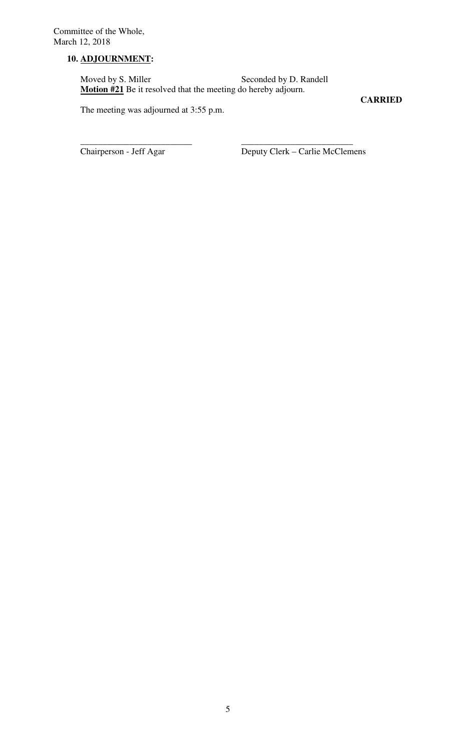# **10. ADJOURNMENT:**

Moved by S. Miller Seconded by D. Randell **Motion #21** Be it resolved that the meeting do hereby adjourn.

\_\_\_\_\_\_\_\_\_\_\_\_\_\_\_\_\_\_\_\_\_\_\_\_\_ \_\_\_\_\_\_\_\_\_\_\_\_\_\_\_\_\_\_\_\_\_\_\_\_\_

**CARRIED** 

The meeting was adjourned at 3:55 p.m.

Chairperson - Jeff Agar Deputy Clerk – Carlie McClemens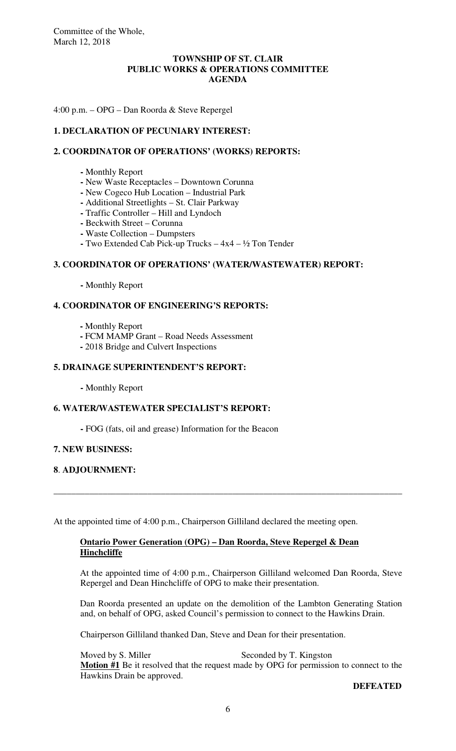## **TOWNSHIP OF ST. CLAIR PUBLIC WORKS & OPERATIONS COMMITTEE AGENDA**

4:00 p.m. – OPG – Dan Roorda & Steve Repergel

## **1. DECLARATION OF PECUNIARY INTEREST:**

## **2. COORDINATOR OF OPERATIONS' (WORKS) REPORTS:**

- Monthly Report
- **-** New Waste Receptacles Downtown Corunna
- New Cogeco Hub Location Industrial Park
- Additional Streetlights St. Clair Parkway
- Traffic Controller Hill and Lyndoch
- **-** Beckwith Street Corunna
- **-** Waste Collection Dumpsters
- **-** Two Extended Cab Pick-up Trucks 4x4 ½ Ton Tender

## **3. COORDINATOR OF OPERATIONS' (WATER/WASTEWATER) REPORT:**

 **-** Monthly Report

## **4. COORDINATOR OF ENGINEERING'S REPORTS:**

- **-** Monthly Report
- FCM MAMP Grant Road Needs Assessment
- **-** 2018 Bridge and Culvert Inspections

## **5. DRAINAGE SUPERINTENDENT'S REPORT:**

 **-** Monthly Report

## **6. WATER/WASTEWATER SPECIALIST'S REPORT:**

 **-** FOG (fats, oil and grease) Information for the Beacon

#### **7. NEW BUSINESS:**

## **8**. **ADJOURNMENT:**

At the appointed time of 4:00 p.m., Chairperson Gilliland declared the meeting open.

## **Ontario Power Generation (OPG) – Dan Roorda, Steve Repergel & Dean Hinchcliffe**

\_\_\_\_\_\_\_\_\_\_\_\_\_\_\_\_\_\_\_\_\_\_\_\_\_\_\_\_\_\_\_\_\_\_\_\_\_\_\_\_\_\_\_\_\_\_\_\_\_\_\_\_\_\_\_\_\_\_\_\_\_\_\_\_\_\_\_\_\_\_\_\_\_\_\_\_\_\_

At the appointed time of 4:00 p.m., Chairperson Gilliland welcomed Dan Roorda, Steve Repergel and Dean Hinchcliffe of OPG to make their presentation.

Dan Roorda presented an update on the demolition of the Lambton Generating Station and, on behalf of OPG, asked Council's permission to connect to the Hawkins Drain.

Chairperson Gilliland thanked Dan, Steve and Dean for their presentation.

Moved by S. Miller Seconded by T. Kingston **Motion #1** Be it resolved that the request made by OPG for permission to connect to the Hawkins Drain be approved.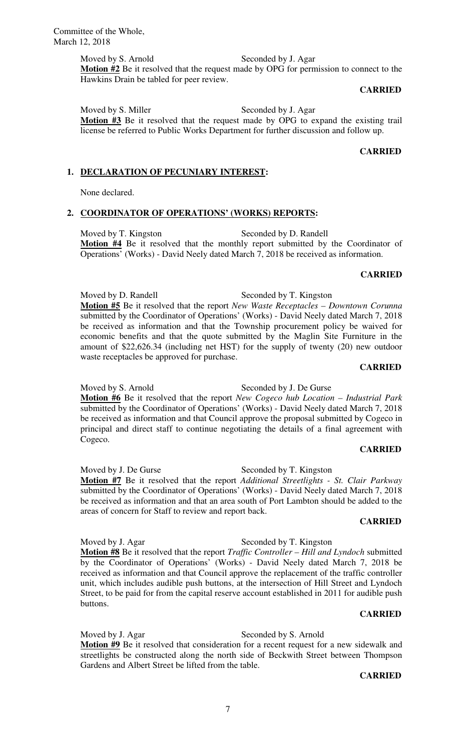#### Moved by S. Arnold Seconded by J. Agar

**Motion #2** Be it resolved that the request made by OPG for permission to connect to the Hawkins Drain be tabled for peer review.

#### **CARRIED**

Moved by S. Miller Seconded by J. Agar **Motion #3** Be it resolved that the request made by OPG to expand the existing trail license be referred to Public Works Department for further discussion and follow up.

#### **CARRIED**

#### **1. DECLARATION OF PECUNIARY INTEREST:**

None declared.

#### **2. COORDINATOR OF OPERATIONS' (WORKS) REPORTS:**

Moved by T. Kingston Seconded by D. Randell Motion **#4** Be it resolved that the monthly report submitted by the Coordinator of Operations' (Works) - David Neely dated March 7, 2018 be received as information.

#### **CARRIED**

Moved by D. Randell Seconded by T. Kingston **Motion #5** Be it resolved that the report *New Waste Receptacles – Downtown Corunna* submitted by the Coordinator of Operations' (Works) - David Neely dated March 7, 2018 be received as information and that the Township procurement policy be waived for economic benefits and that the quote submitted by the Maglin Site Furniture in the amount of \$22,626.34 (including net HST) for the supply of twenty (20) new outdoor waste receptacles be approved for purchase.

#### **CARRIED**

Moved by S. Arnold Seconded by J. De Gurse **Motion #6** Be it resolved that the report *New Cogeco hub Location – Industrial Park*  submitted by the Coordinator of Operations' (Works) - David Neely dated March 7, 2018 be received as information and that Council approve the proposal submitted by Cogeco in principal and direct staff to continue negotiating the details of a final agreement with

#### **CARRIED**

Moved by J. De Gurse Seconded by T. Kingston **Motion #7** Be it resolved that the report *Additional Streetlights - St. Clair Parkway*  submitted by the Coordinator of Operations' (Works) - David Neely dated March 7, 2018 be received as information and that an area south of Port Lambton should be added to the areas of concern for Staff to review and report back.

#### **CARRIED**

#### Moved by J. Agar Seconded by T. Kingston

Cogeco.

**Motion #8** Be it resolved that the report *Traffic Controller – Hill and Lyndoch* submitted by the Coordinator of Operations' (Works) - David Neely dated March 7, 2018 be received as information and that Council approve the replacement of the traffic controller unit, which includes audible push buttons, at the intersection of Hill Street and Lyndoch Street, to be paid for from the capital reserve account established in 2011 for audible push buttons.

#### **CARRIED**

Moved by J. Agar Seconded by S. Arnold **Motion #9** Be it resolved that consideration for a recent request for a new sidewalk and streetlights be constructed along the north side of Beckwith Street between Thompson Gardens and Albert Street be lifted from the table.

#### **CARRIED**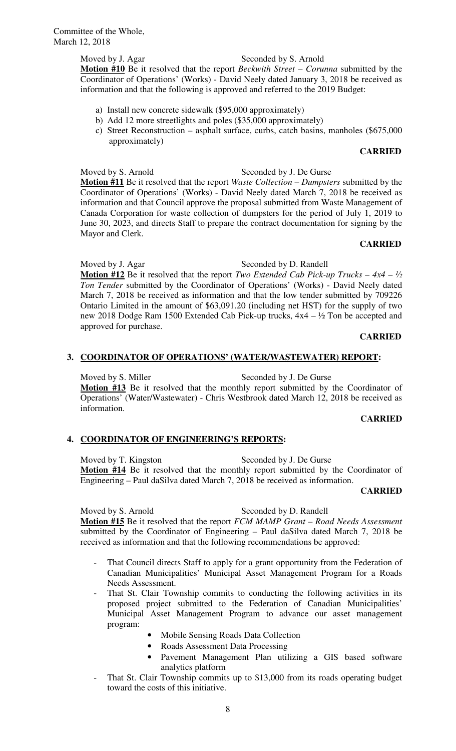Committee of the Whole, March 12, 2018

## Moved by J. Agar Seconded by S. Arnold

**Motion #10** Be it resolved that the report *Beckwith Street – Corunna* submitted by the Coordinator of Operations' (Works) - David Neely dated January 3, 2018 be received as information and that the following is approved and referred to the 2019 Budget:

- a) Install new concrete sidewalk (\$95,000 approximately)
- b) Add 12 more streetlights and poles (\$35,000 approximately)
- c) Street Reconstruction asphalt surface, curbs, catch basins, manholes (\$675,000 approximately)

## **CARRIED**

Moved by S. Arnold Seconded by J. De Gurse **Motion #11** Be it resolved that the report *Waste Collection – Dumpsters* submitted by the Coordinator of Operations' (Works) - David Neely dated March 7, 2018 be received as information and that Council approve the proposal submitted from Waste Management of Canada Corporation for waste collection of dumpsters for the period of July 1, 2019 to June 30, 2023, and directs Staff to prepare the contract documentation for signing by the Mayor and Clerk.

## **CARRIED**

Moved by J. Agar Seconded by D. Randell **Motion #12** Be it resolved that the report *Two Extended Cab Pick-up Trucks – 4x4 – ½ Ton Tender* submitted by the Coordinator of Operations' (Works) - David Neely dated March 7, 2018 be received as information and that the low tender submitted by 709226 Ontario Limited in the amount of \$63,091.20 (including net HST) for the supply of two new 2018 Dodge Ram 1500 Extended Cab Pick-up trucks, 4x4 – ½ Ton be accepted and approved for purchase.

## **CARRIED**

## **3. COORDINATOR OF OPERATIONS' (WATER/WASTEWATER) REPORT:**

Moved by S. Miller Seconded by J. De Gurse **Motion #13** Be it resolved that the monthly report submitted by the Coordinator of Operations' (Water/Wastewater) - Chris Westbrook dated March 12, 2018 be received as information.

#### **CARRIED**

## **4. COORDINATOR OF ENGINEERING'S REPORTS:**

Moved by T. Kingston Seconded by J. De Gurse **Motion #14** Be it resolved that the monthly report submitted by the Coordinator of Engineering – Paul daSilva dated March 7, 2018 be received as information.

#### **CARRIED**

Moved by S. Arnold Seconded by D. Randell **Motion #15** Be it resolved that the report *FCM MAMP Grant – Road Needs Assessment*  submitted by the Coordinator of Engineering – Paul daSilva dated March 7, 2018 be received as information and that the following recommendations be approved:

- That Council directs Staff to apply for a grant opportunity from the Federation of Canadian Municipalities' Municipal Asset Management Program for a Roads Needs Assessment.
- That St. Clair Township commits to conducting the following activities in its proposed project submitted to the Federation of Canadian Municipalities' Municipal Asset Management Program to advance our asset management program:
	- Mobile Sensing Roads Data Collection
	- Roads Assessment Data Processing
	- Pavement Management Plan utilizing a GIS based software analytics platform
- That St. Clair Township commits up to \$13,000 from its roads operating budget toward the costs of this initiative.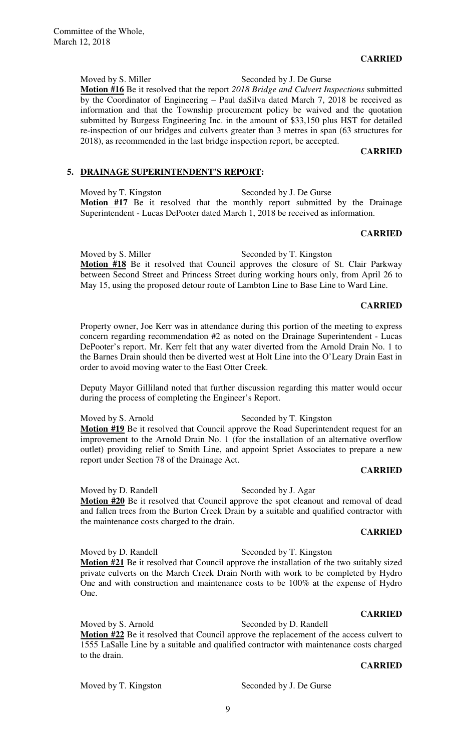**CARRIED** 

Moved by S. Miller Seconded by J. De Gurse **Motion #16** Be it resolved that the report *2018 Bridge and Culvert Inspections* submitted by the Coordinator of Engineering – Paul daSilva dated March 7, 2018 be received as information and that the Township procurement policy be waived and the quotation submitted by Burgess Engineering Inc. in the amount of \$33,150 plus HST for detailed re-inspection of our bridges and culverts greater than 3 metres in span (63 structures for 2018), as recommended in the last bridge inspection report, be accepted.

**CARRIED** 

## **5. DRAINAGE SUPERINTENDENT'S REPORT:**

Moved by T. Kingston Seconded by J. De Gurse **Motion #17** Be it resolved that the monthly report submitted by the Drainage Superintendent - Lucas DePooter dated March 1, 2018 be received as information.

#### **CARRIED**

Moved by S. Miller Seconded by T. Kingston **Motion #18** Be it resolved that Council approves the closure of St. Clair Parkway between Second Street and Princess Street during working hours only, from April 26 to May 15, using the proposed detour route of Lambton Line to Base Line to Ward Line.

#### **CARRIED**

Property owner, Joe Kerr was in attendance during this portion of the meeting to express concern regarding recommendation #2 as noted on the Drainage Superintendent - Lucas DePooter's report. Mr. Kerr felt that any water diverted from the Arnold Drain No. 1 to the Barnes Drain should then be diverted west at Holt Line into the O'Leary Drain East in order to avoid moving water to the East Otter Creek.

Deputy Mayor Gilliland noted that further discussion regarding this matter would occur during the process of completing the Engineer's Report.

#### Moved by S. Arnold Seconded by T. Kingston

Motion #19 Be it resolved that Council approve the Road Superintendent request for an improvement to the Arnold Drain No. 1 (for the installation of an alternative overflow outlet) providing relief to Smith Line, and appoint Spriet Associates to prepare a new report under Section 78 of the Drainage Act.

#### **CARRIED**

Moved by D. Randell Seconded by J. Agar **Motion #20** Be it resolved that Council approve the spot cleanout and removal of dead and fallen trees from the Burton Creek Drain by a suitable and qualified contractor with the maintenance costs charged to the drain.

#### **CARRIED**

Moved by D. Randell Seconded by T. Kingston **Motion #21** Be it resolved that Council approve the installation of the two suitably sized private culverts on the March Creek Drain North with work to be completed by Hydro One and with construction and maintenance costs to be 100% at the expense of Hydro One.

## **CARRIED**

Moved by S. Arnold Seconded by D. Randell **Motion #22** Be it resolved that Council approve the replacement of the access culvert to 1555 LaSalle Line by a suitable and qualified contractor with maintenance costs charged to the drain.

**CARRIED** 

Moved by T. Kingston Seconded by J. De Gurse